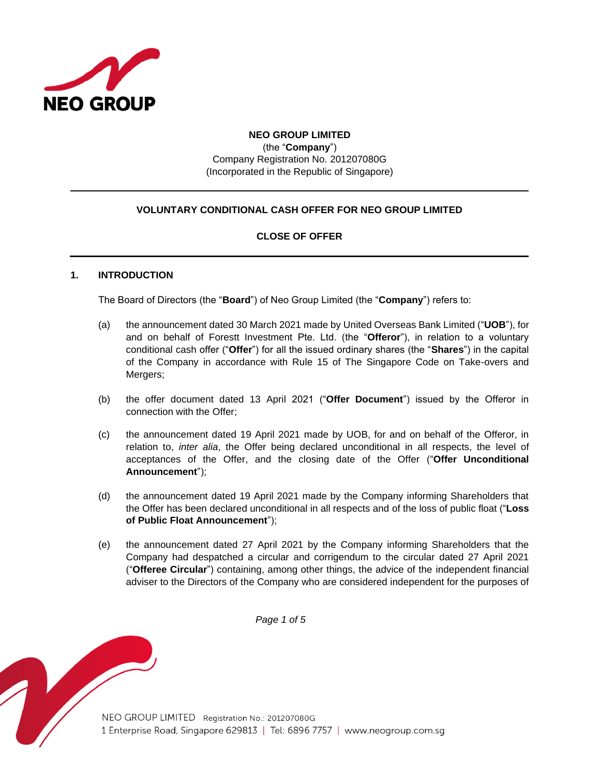

## **NEO GROUP LIMITED** (the "**Company**")

Company Registration No. 201207080G (Incorporated in the Republic of Singapore)

# **VOLUNTARY CONDITIONAL CASH OFFER FOR NEO GROUP LIMITED**

# **CLOSE OF OFFER**

## **1. INTRODUCTION**

The Board of Directors (the "**Board**") of Neo Group Limited (the "**Company**") refers to:

- (a) the announcement dated 30 March 2021 made by United Overseas Bank Limited ("**UOB**"), for and on behalf of Forestt Investment Pte. Ltd. (the "**Offeror**"), in relation to a voluntary conditional cash offer ("**Offer**") for all the issued ordinary shares (the "**Shares**") in the capital of the Company in accordance with Rule 15 of The Singapore Code on Take-overs and Mergers;
- (b) the offer document dated 13 April 2021 ("**Offer Document**") issued by the Offeror in connection with the Offer;
- (c) the announcement dated 19 April 2021 made by UOB, for and on behalf of the Offeror, in relation to, *inter alia*, the Offer being declared unconditional in all respects, the level of acceptances of the Offer, and the closing date of the Offer ("**Offer Unconditional Announcement**");
- (d) the announcement dated 19 April 2021 made by the Company informing Shareholders that the Offer has been declared unconditional in all respects and of the loss of public float ("**Loss of Public Float Announcement**");
- (e) the announcement dated 27 April 2021 by the Company informing Shareholders that the Company had despatched a circular and corrigendum to the circular dated 27 April 2021 ("**Offeree Circular**") containing, among other things, the advice of the independent financial adviser to the Directors of the Company who are considered independent for the purposes of

*Page 1 of 5*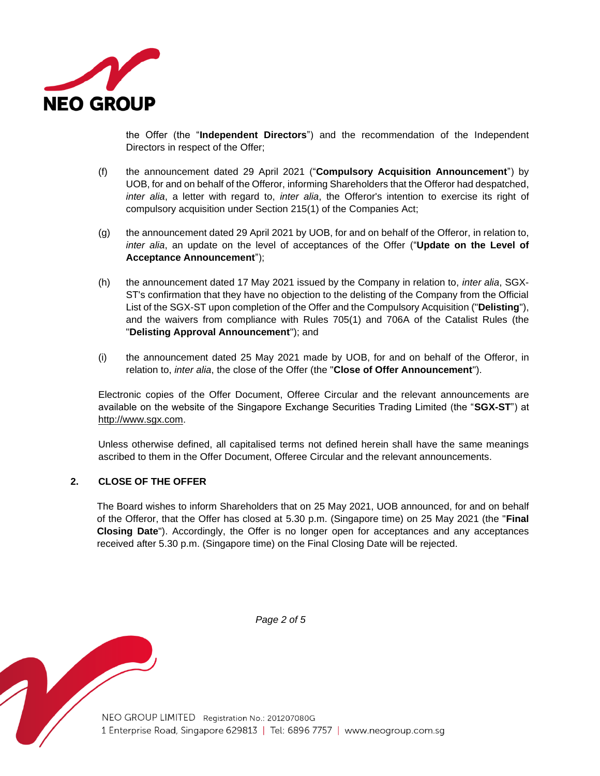

the Offer (the "**Independent Directors**") and the recommendation of the Independent Directors in respect of the Offer;

- (f) the announcement dated 29 April 2021 ("**Compulsory Acquisition Announcement**") by UOB, for and on behalf of the Offeror, informing Shareholders that the Offeror had despatched, *inter alia*, a letter with regard to, *inter alia*, the Offeror's intention to exercise its right of compulsory acquisition under Section 215(1) of the Companies Act;
- (g) the announcement dated 29 April 2021 by UOB, for and on behalf of the Offeror, in relation to, *inter alia*, an update on the level of acceptances of the Offer ("**Update on the Level of Acceptance Announcement**");
- (h) the announcement dated 17 May 2021 issued by the Company in relation to, *inter alia*, SGX-ST's confirmation that they have no objection to the delisting of the Company from the Official List of the SGX-ST upon completion of the Offer and the Compulsory Acquisition ("**Delisting**"), and the waivers from compliance with Rules 705(1) and 706A of the Catalist Rules (the "**Delisting Approval Announcement**"); and
- (i) the announcement dated 25 May 2021 made by UOB, for and on behalf of the Offeror, in relation to, *inter alia*, the close of the Offer (the "**Close of Offer Announcement**").

Electronic copies of the Offer Document, Offeree Circular and the relevant announcements are available on the website of the Singapore Exchange Securities Trading Limited (the "**SGX-ST**") at http://www.sgx.com.

Unless otherwise defined, all capitalised terms not defined herein shall have the same meanings ascribed to them in the Offer Document, Offeree Circular and the relevant announcements.

#### **2. CLOSE OF THE OFFER**

The Board wishes to inform Shareholders that on 25 May 2021, UOB announced, for and on behalf of the Offeror, that the Offer has closed at 5.30 p.m. (Singapore time) on 25 May 2021 (the "**Final Closing Date**"). Accordingly, the Offer is no longer open for acceptances and any acceptances received after 5.30 p.m. (Singapore time) on the Final Closing Date will be rejected.



*Page 2 of 5*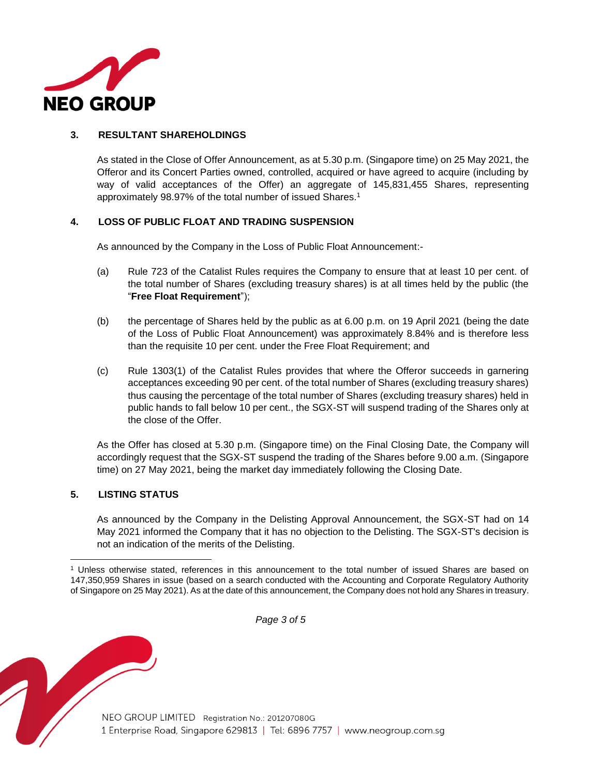

## **3. RESULTANT SHAREHOLDINGS**

As stated in the Close of Offer Announcement, as at 5.30 p.m. (Singapore time) on 25 May 2021, the Offeror and its Concert Parties owned, controlled, acquired or have agreed to acquire (including by way of valid acceptances of the Offer) an aggregate of 145,831,455 Shares, representing approximately 98.97% of the total number of issued Shares.<sup>1</sup>

#### **4. LOSS OF PUBLIC FLOAT AND TRADING SUSPENSION**

As announced by the Company in the Loss of Public Float Announcement:-

- (a) Rule 723 of the Catalist Rules requires the Company to ensure that at least 10 per cent. of the total number of Shares (excluding treasury shares) is at all times held by the public (the "**Free Float Requirement**");
- (b) the percentage of Shares held by the public as at 6.00 p.m. on 19 April 2021 (being the date of the Loss of Public Float Announcement) was approximately 8.84% and is therefore less than the requisite 10 per cent. under the Free Float Requirement; and
- (c) Rule 1303(1) of the Catalist Rules provides that where the Offeror succeeds in garnering acceptances exceeding 90 per cent. of the total number of Shares (excluding treasury shares) thus causing the percentage of the total number of Shares (excluding treasury shares) held in public hands to fall below 10 per cent., the SGX-ST will suspend trading of the Shares only at the close of the Offer.

As the Offer has closed at 5.30 p.m. (Singapore time) on the Final Closing Date, the Company will accordingly request that the SGX-ST suspend the trading of the Shares before 9.00 a.m. (Singapore time) on 27 May 2021, being the market day immediately following the Closing Date.

#### **5. LISTING STATUS**

As announced by the Company in the Delisting Approval Announcement, the SGX-ST had on 14 May 2021 informed the Company that it has no objection to the Delisting. The SGX-ST's decision is not an indication of the merits of the Delisting.

*Page 3 of 5*

<sup>1</sup> Unless otherwise stated, references in this announcement to the total number of issued Shares are based on 147,350,959 Shares in issue (based on a search conducted with the Accounting and Corporate Regulatory Authority of Singapore on 25 May 2021). As at the date of this announcement, the Company does not hold any Shares in treasury.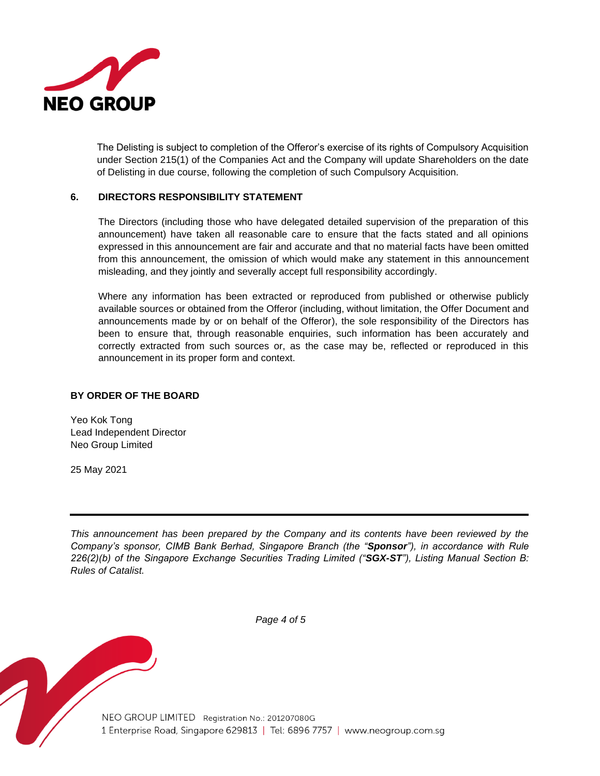

The Delisting is subject to completion of the Offeror's exercise of its rights of Compulsory Acquisition under Section 215(1) of the Companies Act and the Company will update Shareholders on the date of Delisting in due course, following the completion of such Compulsory Acquisition.

#### **6. DIRECTORS RESPONSIBILITY STATEMENT**

The Directors (including those who have delegated detailed supervision of the preparation of this announcement) have taken all reasonable care to ensure that the facts stated and all opinions expressed in this announcement are fair and accurate and that no material facts have been omitted from this announcement, the omission of which would make any statement in this announcement misleading, and they jointly and severally accept full responsibility accordingly.

Where any information has been extracted or reproduced from published or otherwise publicly available sources or obtained from the Offeror (including, without limitation, the Offer Document and announcements made by or on behalf of the Offeror), the sole responsibility of the Directors has been to ensure that, through reasonable enquiries, such information has been accurately and correctly extracted from such sources or, as the case may be, reflected or reproduced in this announcement in its proper form and context.

## **BY ORDER OF THE BOARD**

Yeo Kok Tong Lead Independent Director Neo Group Limited

25 May 2021

*This announcement has been prepared by the Company and its contents have been reviewed by the Company's sponsor, CIMB Bank Berhad, Singapore Branch (the "Sponsor"), in accordance with Rule 226(2)(b) of the Singapore Exchange Securities Trading Limited ("SGX-ST"), Listing Manual Section B: Rules of Catalist.* 



*Page 4 of 5*